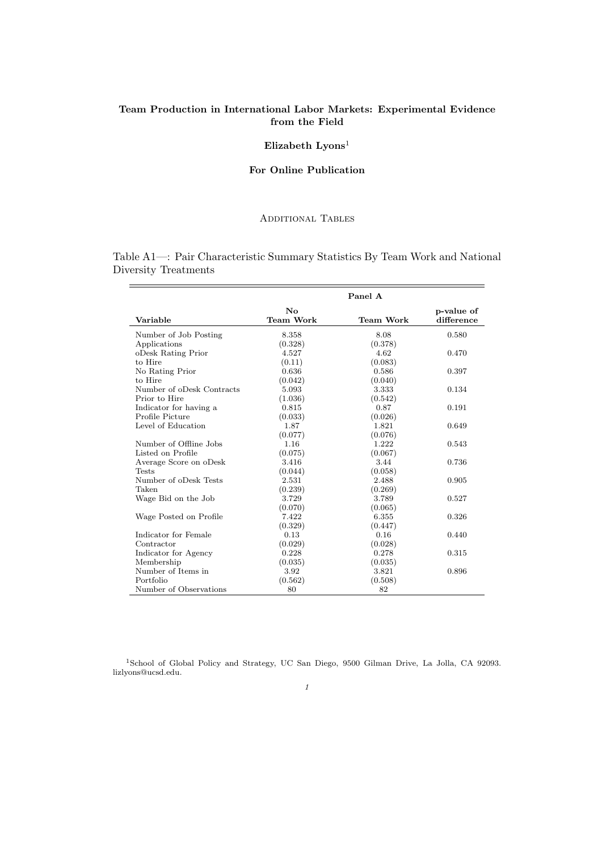# **Team Production in International Labor Markets: Experimental Evidence from the Field**

# **Elizabeth Lyons**<sup>1</sup>

## **For Online Publication**

## Additional Tables

Table A1—: Pair Characteristic Summary Statistics By Team Work and National Diversity Treatments

 $\sim$ 

 $\frac{1}{2} \left( \frac{1}{2} \right) \left( \frac{1}{2} \right) \left( \frac{1}{2} \right) \left( \frac{1}{2} \right) \left( \frac{1}{2} \right) \left( \frac{1}{2} \right) \left( \frac{1}{2} \right) \left( \frac{1}{2} \right) \left( \frac{1}{2} \right) \left( \frac{1}{2} \right) \left( \frac{1}{2} \right) \left( \frac{1}{2} \right) \left( \frac{1}{2} \right) \left( \frac{1}{2} \right) \left( \frac{1}{2} \right) \left( \frac{1}{2} \right) \left( \frac$ 

|                           |                                            | Panel A   |                          |
|---------------------------|--------------------------------------------|-----------|--------------------------|
| Variable                  | $\mathbf{N}\mathbf{o}$<br><b>Team Work</b> | Team Work | p-value of<br>difference |
| Number of Job Posting     | 8.358                                      | 8.08      | 0.580                    |
| Applications              | (0.328)                                    | (0.378)   |                          |
| oDesk Rating Prior        | 4.527                                      | 4.62      | 0.470                    |
| to Hire                   | (0.11)                                     | (0.083)   |                          |
| No Rating Prior           | 0.636                                      | 0.586     | 0.397                    |
| to Hire                   | (0.042)                                    | (0.040)   |                          |
| Number of oDesk Contracts | 5.093                                      | 3.333     | 0.134                    |
| Prior to Hire             | (1.036)                                    | (0.542)   |                          |
| Indicator for having a    | 0.815                                      | 0.87      | 0.191                    |
| Profile Picture           | (0.033)                                    | (0.026)   |                          |
| Level of Education        | 1.87                                       | 1.821     | 0.649                    |
|                           | (0.077)                                    | (0.076)   |                          |
| Number of Offline Jobs    | 1.16                                       | 1.222     | 0.543                    |
| Listed on Profile         | (0.075)                                    | (0.067)   |                          |
| Average Score on oDesk    | 3.416                                      | 3.44      | 0.736                    |
| <b>Tests</b>              | (0.044)                                    | (0.058)   |                          |
| Number of oDesk Tests     | 2.531                                      | 2.488     | 0.905                    |
| Taken                     | (0.239)                                    | (0.269)   |                          |
| Wage Bid on the Job       | 3.729                                      | 3.789     | 0.527                    |
|                           | (0.070)                                    | (0.065)   |                          |
| Wage Posted on Profile    | 7.422                                      | 6.355     | 0.326                    |
|                           | (0.329)                                    | (0.447)   |                          |
| Indicator for Female      | 0.13                                       | 0.16      | 0.440                    |
| Contractor                | (0.029)                                    | (0.028)   |                          |
| Indicator for Agency      | 0.228                                      | 0.278     | 0.315                    |
| Membership                | (0.035)                                    | (0.035)   |                          |
| Number of Items in        | 3.92                                       | 3.821     | 0.896                    |
| Portfolio                 | (0.562)                                    | (0.508)   |                          |
| Number of Observations    | 80                                         | 82        |                          |

<sup>1</sup>School of Global Policy and Strategy, UC San Diego, 9500 Gilman Drive, La Jolla, CA 92093. lizlyons@ucsd.edu.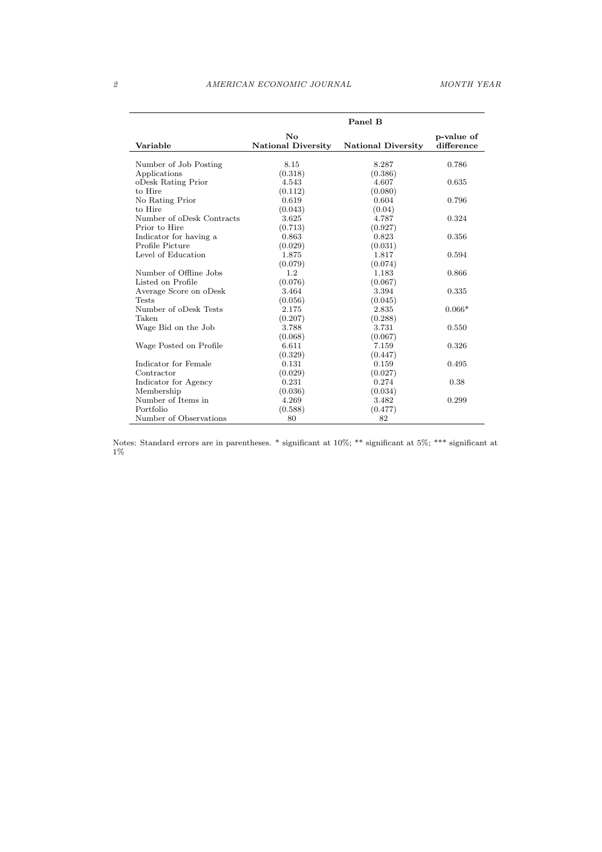|                           |                           | Panel B                   |            |
|---------------------------|---------------------------|---------------------------|------------|
|                           | $\mathbf{N}\mathbf{o}$    |                           | p-value of |
| Variable                  | <b>National Diversity</b> | <b>National Diversity</b> | difference |
| Number of Job Posting     | 8.15                      | 8.287                     | 0.786      |
| Applications              | (0.318)                   | (0.386)                   |            |
| oDesk Rating Prior        | 4.543                     | 4.607                     | 0.635      |
| to Hire                   | (0.112)                   | (0.080)                   |            |
| No Rating Prior           | 0.619                     | 0.604                     | 0.796      |
| to Hire                   | (0.043)                   | (0.04)                    |            |
| Number of oDesk Contracts | 3.625                     | 4.787                     | 0.324      |
| Prior to Hire             | (0.713)                   | (0.927)                   |            |
| Indicator for having a    | 0.863                     | 0.823                     | 0.356      |
| Profile Picture           | (0.029)                   | (0.031)                   |            |
| Level of Education        | 1.875                     | 1.817                     | 0.594      |
|                           | (0.079)                   | (0.074)                   |            |
| Number of Offline Jobs    | 1.2                       | 1.183                     | 0.866      |
| Listed on Profile         | (0.076)                   | (0.067)                   |            |
| Average Score on oDesk    | 3.464                     | 3.394                     | 0.335      |
| <b>Tests</b>              | (0.056)                   | (0.045)                   |            |
| Number of oDesk Tests     | 2.175                     | 2.835                     | $0.066*$   |
| Taken                     | (0.207)                   | (0.288)                   |            |
| Wage Bid on the Job       | 3.788                     | 3.731                     | 0.550      |
|                           | (0.068)                   | (0.067)                   |            |
| Wage Posted on Profile    | 6.611                     | 7.159                     | 0.326      |
|                           | (0.329)                   | (0.447)                   |            |
| Indicator for Female      | 0.131                     | 0.159                     | 0.495      |
| Contractor                | (0.029)                   | (0.027)                   |            |
| Indicator for Agency      | 0.231                     | 0.274                     | 0.38       |
| Membership                | (0.036)                   | (0.034)                   |            |
| Number of Items in        | 4.269                     | 3.482                     | 0.299      |
| Portfolio                 | (0.588)                   | (0.477)                   |            |
| Number of Observations    | 80                        | 82                        |            |

Notes: Standard errors are in parentheses. \* significant at 10%; \*\* significant at 5%; \*\*\* significant at 1%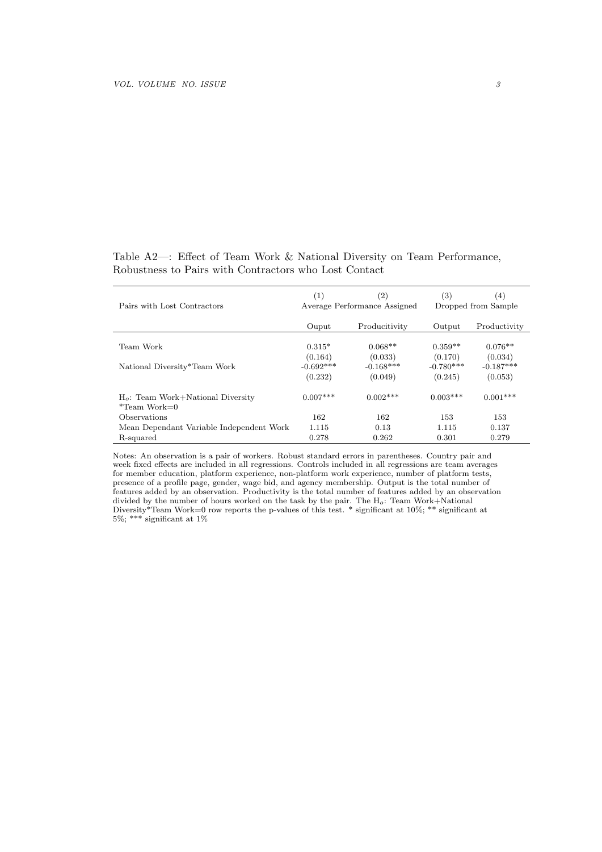# Table A2—: Effect of Team Work & National Diversity on Team Performance, Robustness to Pairs with Contractors who Lost Contact

| Pairs with Lost Contractors                             | (1)<br>$\left( 2\right)$<br>Average Performance Assigned |                        | $\left( 3\right)$      | (4)<br>Dropped from Sample |
|---------------------------------------------------------|----------------------------------------------------------|------------------------|------------------------|----------------------------|
|                                                         | Ouput                                                    | Producitivity          | Output                 | Productivity               |
| Team Work                                               | $0.315*$                                                 | $0.068**$              | $0.359**$              | $0.076**$                  |
| National Diversity*Team Work                            | (0.164)<br>$-0.692***$                                   | (0.033)<br>$-0.168***$ | (0.170)<br>$-0.780***$ | (0.034)<br>$-0.187***$     |
|                                                         | (0.232)                                                  | (0.049)                | (0.245)                | (0.053)                    |
| $H_o$ : Team Work+National Diversity<br>$*$ Team Work=0 | $0.007***$                                               | $0.002$ ***            | $0.003***$             | $0.001***$                 |
| Observations                                            | 162                                                      | 162                    | 153                    | 153                        |
| Mean Dependant Variable Independent Work                | 1.115                                                    | 0.13                   | 1.115                  | 0.137                      |
| R-squared                                               | 0.278                                                    | 0.262                  | 0.301                  | 0.279                      |

Notes: An observation is a pair of workers. Robust standard errors in parentheses. Country pair and week fixed effects are included in all regressions. Controls included in all regressions are team averages for member education, platform experience, non-platform work experience, number of platform tests, presence of a profile page, gender, wage bid, and agency membership. Output is the total number of features added by an observation. Productivity is the total number of features added by an observation divided by the number of hours worked on the task by the pair. The H*o*: Team Work+National Diversity\*Team Work=0 row reports the p-values of this test. \* significant at 10%; \*\* significant at  $5\%$ ; \*\*\* significant at  $1\%$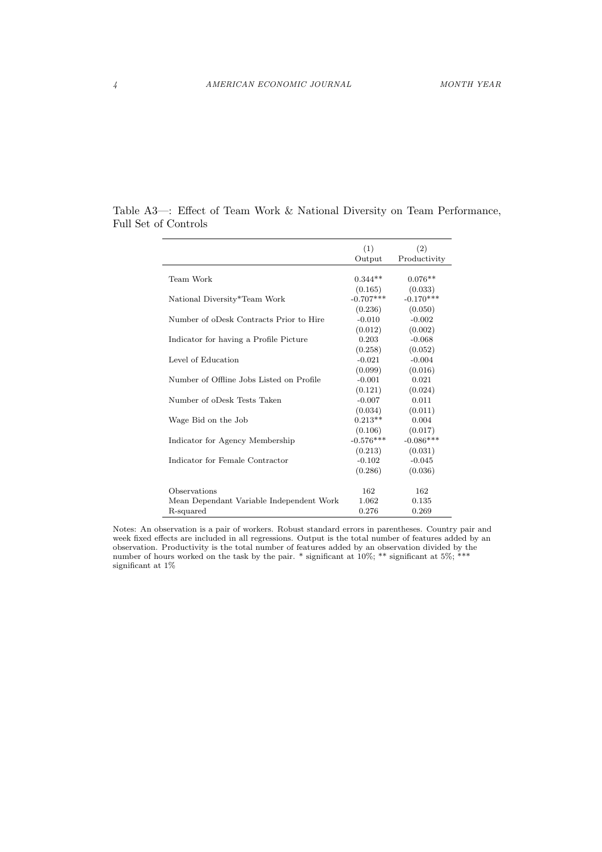|                                          | (1)         | (2)          |
|------------------------------------------|-------------|--------------|
|                                          | Output      | Productivity |
| Team Work                                | $0.344**$   | $0.076**$    |
|                                          | (0.165)     | (0.033)      |
| National Diversity*Team Work             | $-0.707***$ | $-0.170***$  |
|                                          | (0.236)     | (0.050)      |
| Number of oDesk Contracts Prior to Hire  | $-0.010$    | $-0.002$     |
|                                          | (0.012)     | (0.002)      |
| Indicator for having a Profile Picture   | 0.203       | $-0.068$     |
|                                          | (0.258)     | (0.052)      |
| Level of Education                       | $-0.021$    | $-0.004$     |
|                                          | (0.099)     | (0.016)      |
| Number of Offline Jobs Listed on Profile | $-0.001$    | 0.021        |
|                                          | (0.121)     | (0.024)      |
| Number of oDesk Tests Taken              | $-0.007$    | 0.011        |
|                                          | (0.034)     | (0.011)      |
| Wage Bid on the Job                      | $0.213**$   | 0.004        |
|                                          | (0.106)     | (0.017)      |
| Indicator for Agency Membership          | $-0.576***$ | $-0.086***$  |
|                                          | (0.213)     | (0.031)      |
| Indicator for Female Contractor          | $-0.102$    | $-0.045$     |
|                                          | (0.286)     | (0.036)      |
|                                          |             |              |
| Observations                             | 162         | 162          |
| Mean Dependant Variable Independent Work | 1.062       | 0.135        |
| R-squared                                | 0.276       | 0.269        |

Table A3—: Effect of Team Work & National Diversity on Team Performance, Full Set of Controls

Notes: An observation is a pair of workers. Robust standard errors in parentheses. Country pair and week fixed effects are included in all regressions. Output is the total number of features added by an observation. Productivity is the total number of features added by an observation divided by the number of hours worked on the task by the pair. \* significant at  $10\%$ ; \*\* significant at  $5\%$ ; \*\*\* significant at 1%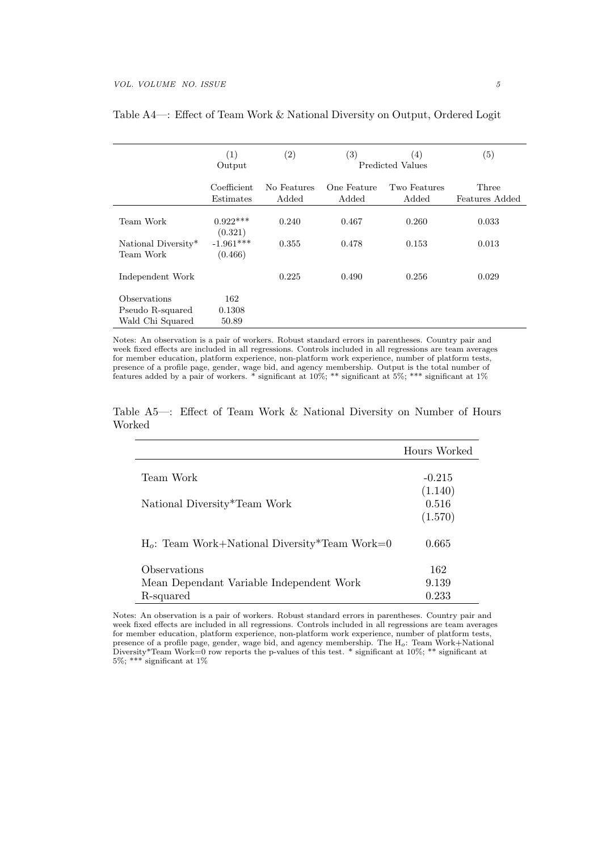|                     | (1)         | (2)         | (3)         | (4)              | (5)            |
|---------------------|-------------|-------------|-------------|------------------|----------------|
|                     | Output      |             |             | Predicted Values |                |
|                     |             |             |             |                  |                |
|                     | Coefficient | No Features | One Feature | Two Features     | Three          |
|                     | Estimates   | Added       | Added       | Added            | Features Added |
|                     |             |             |             |                  |                |
| Team Work           | $0.922***$  | 0.240       | 0.467       | 0.260            | 0.033          |
|                     | (0.321)     |             |             |                  |                |
| National Diversity* | $-1.961***$ | 0.355       | 0.478       | 0.153            | 0.013          |
| Team Work           | (0.466)     |             |             |                  |                |
|                     |             |             |             |                  |                |
| Independent Work    |             | 0.225       | 0.490       | 0.256            | 0.029          |
|                     |             |             |             |                  |                |
| Observations        | 162         |             |             |                  |                |
| Pseudo R-squared    | 0.1308      |             |             |                  |                |
| Wald Chi Squared    | 50.89       |             |             |                  |                |

## Table A4—: Effect of Team Work & National Diversity on Output, Ordered Logit

Notes: An observation is a pair of workers. Robust standard errors in parentheses. Country pair and week fixed effects are included in all regressions. Controls included in all regressions are team averages for member education, platform experience, non-platform work experience, number of platform tests, presence of a profile page, gender, wage bid, and agency membership. Output is the total number of features added by a pair of workers. \* significant at 10%; \*\* significant at 5%; \*\*\* significant at 1%

| Table A5—: Effect of Team Work & National Diversity on Number of Hours |  |  |  |  |  |  |
|------------------------------------------------------------------------|--|--|--|--|--|--|
| Worked                                                                 |  |  |  |  |  |  |

|                                                  | Hours Worked |
|--------------------------------------------------|--------------|
| Team Work                                        | $-0.215$     |
|                                                  | (1.140)      |
| National Diversity*Team Work                     | 0.516        |
|                                                  | (1.570)      |
| $H_o$ : Team Work+National Diversity*Team Work=0 | 0.665        |
| Observations                                     | 162          |
| Mean Dependant Variable Independent Work         | 9.139        |
| R-squared                                        | 0.233        |

Notes: An observation is a pair of workers. Robust standard errors in parentheses. Country pair and week fixed effects are included in all regressions. Controls included in all regressions are team averages for member education, platform experience, non-platform work experience, number of platform tests, presence of a profile page, gender, wage bid, and agency membership. The H*o*: Team Work+National Diversity\*Team Work=0 row reports the p-values of this test. \* significant at 10%; \*\* significant at 5%; \*\*\* significant at 1%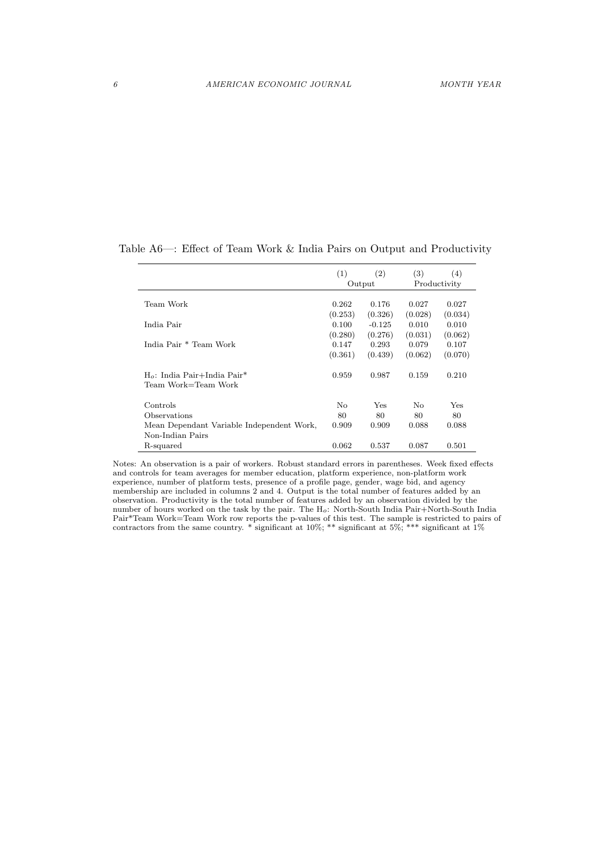|                                                                   | (1)     | (2)      | (3)          | (4)     |
|-------------------------------------------------------------------|---------|----------|--------------|---------|
|                                                                   |         | Output   | Productivity |         |
| Team Work                                                         | 0.262   | 0.176    | 0.027        | 0.027   |
|                                                                   | (0.253) | (0.326)  | (0.028)      | (0.034) |
| India Pair                                                        | 0.100   | $-0.125$ | 0.010        | 0.010   |
|                                                                   | (0.280) | (0.276)  | (0.031)      | (0.062) |
| India Pair <sup>*</sup> Team Work                                 | 0.147   | 0.293    | 0.079        | 0.107   |
|                                                                   | (0.361) | (0.439)  | (0.062)      | (0.070) |
| $H_o$ : India Pair+India Pair <sup>*</sup><br>Team Work=Team Work | 0.959   | 0.987    | 0.159        | 0.210   |
| Controls                                                          | No      | Yes      | No           | Yes     |
| Observations                                                      | 80      | 80       | 80           | 80      |
| Mean Dependant Variable Independent Work,<br>Non-Indian Pairs     | 0.909   | 0.909    | 0.088        | 0.088   |
| R-squared                                                         | 0.062   | 0.537    | 0.087        | 0.501   |

Table A6—: Effect of Team Work & India Pairs on Output and Productivity

Notes: An observation is a pair of workers. Robust standard errors in parentheses. Week fixed effects and controls for team averages for member education, platform experience, non-platform work experience, number of platform tests, presence of a profile page, gender, wage bid, and agency membership are included in columns 2 and 4. Output is the total number of features added by an observation. Productivity is the total number of features added by an observation divided by the number of hours worked on the task by the pair. The H*o*: North-South India Pair+North-South India Pair\*Team Work=Team Work row reports the p-values of this test. The sample is restricted to pairs of contractors from the same country.  $*$  significant at 10%;  $**$  significant at  $1\%$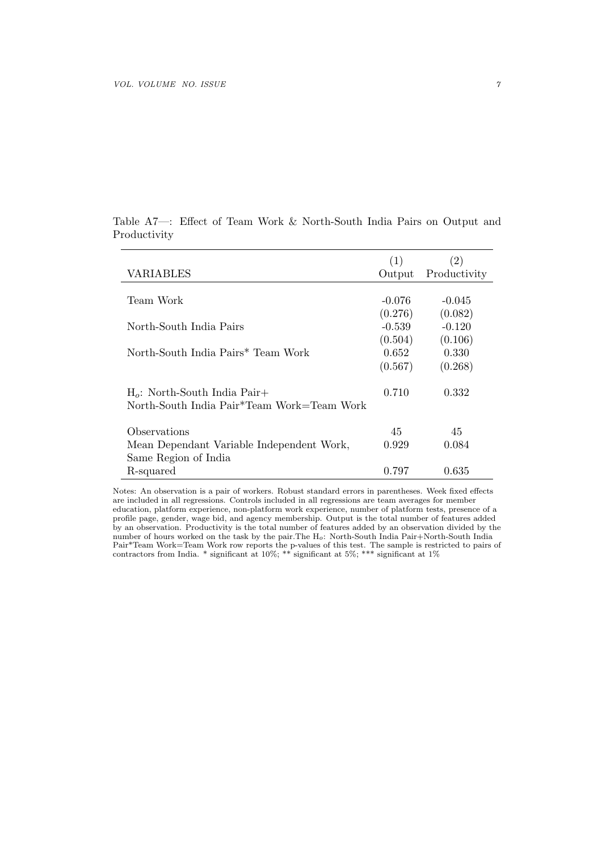|                                                         | (1)      | $\left( 2\right)$ |
|---------------------------------------------------------|----------|-------------------|
| <b>VARIABLES</b>                                        | Output   | Productivity      |
|                                                         |          |                   |
| Team Work                                               | $-0.076$ | $-0.045$          |
|                                                         | (0.276)  | (0.082)           |
| North-South India Pairs                                 | $-0.539$ | $-0.120$          |
|                                                         | (0.504)  | (0.106)           |
| North-South India Pairs* Team Work                      | 0.652    | 0.330             |
|                                                         | (0.567)  | (0.268)           |
| $H_o$ : North-South India Pair+                         | 0.710    | 0.332             |
| North-South India Pair <sup>*</sup> Team Work=Team Work |          |                   |
| Observations                                            | 45       | 45                |
| Mean Dependant Variable Independent Work,               | 0.929    | 0.084             |
|                                                         |          |                   |
| Same Region of India                                    |          | 0.635             |
| R-squared                                               | 0.797    |                   |

Table A7—: Effect of Team Work & North-South India Pairs on Output and Productivity

Notes: An observation is a pair of workers. Robust standard errors in parentheses. Week fixed effects are included in all regressions. Controls included in all regressions are team averages for member education, platform experience, non-platform work experience, number of platform tests, presence of a profile page, gender, wage bid, and agency membership. Output is the total number of features added by an observation. Productivity is the total number of features added by an observation divided by the number of hours worked on the task by the pair.The H*o*: North-South India Pair+North-South India Pair\*Team Work=Team Work row reports the p-values of this test. The sample is restricted to pairs of contractors from India. \* significant at 10%; \*\* significant at 5%; \*\*\* significant at 1%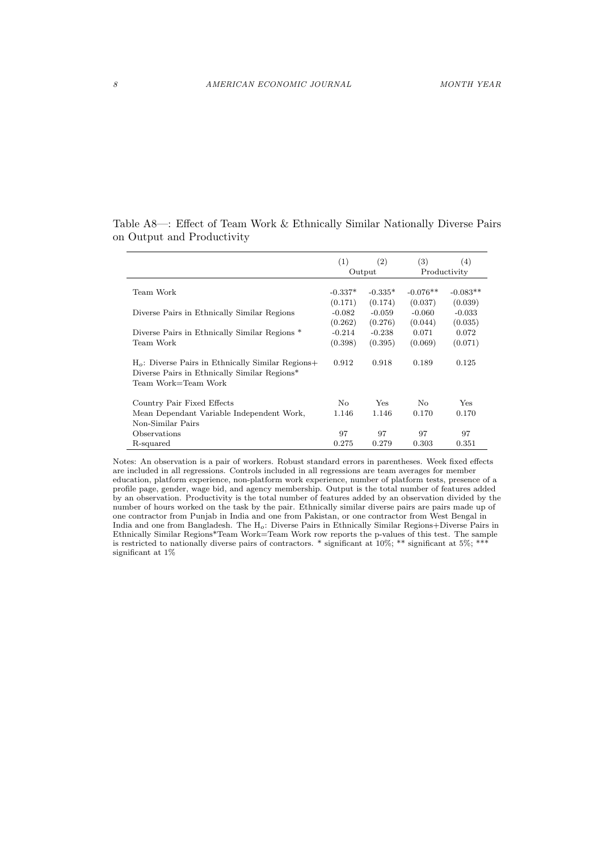|                                                                                                                            | (1)       | (2)       | (3)            | (4)          |
|----------------------------------------------------------------------------------------------------------------------------|-----------|-----------|----------------|--------------|
|                                                                                                                            |           | Output    |                | Productivity |
| Team Work                                                                                                                  | $-0.337*$ | $-0.335*$ | $-0.076**$     | $-0.083**$   |
|                                                                                                                            | (0.171)   | (0.174)   | (0.037)        | (0.039)      |
| Diverse Pairs in Ethnically Similar Regions                                                                                | $-0.082$  | $-0.059$  | $-0.060$       | $-0.033$     |
|                                                                                                                            | (0.262)   | (0.276)   | (0.044)        | (0.035)      |
| Diverse Pairs in Ethnically Similar Regions *                                                                              | $-0.214$  | $-0.238$  | 0.071          | 0.072        |
| Team Work                                                                                                                  | (0.398)   | (0.395)   | (0.069)        | (0.071)      |
| $Ho$ : Diverse Pairs in Ethnically Similar Regions+<br>Diverse Pairs in Ethnically Similar Regions*<br>Team Work=Team Work | 0.912     | 0.918     | 0.189          | 0.125        |
| Country Pair Fixed Effects                                                                                                 | No.       | Yes       | N <sub>o</sub> | Yes          |
| Mean Dependant Variable Independent Work,<br>Non-Similar Pairs                                                             | 1.146     | 1.146     | 0.170          | 0.170        |
| Observations                                                                                                               | 97        | 97        | 97             | 97           |
| R-squared                                                                                                                  | 0.275     | 0.279     | 0.303          | 0.351        |

Table A8—: Effect of Team Work & Ethnically Similar Nationally Diverse Pairs on Output and Productivity

Notes: An observation is a pair of workers. Robust standard errors in parentheses. Week fixed effects are included in all regressions. Controls included in all regressions are team averages for member education, platform experience, non-platform work experience, number of platform tests, presence of a profile page, gender, wage bid, and agency membership. Output is the total number of features added by an observation. Productivity is the total number of features added by an observation divided by the number of hours worked on the task by the pair. Ethnically similar diverse pairs are pairs made up of one contractor from Punjab in India and one from Pakistan, or one contractor from West Bengal in India and one from Bangladesh. The H*o*: Diverse Pairs in Ethnically Similar Regions+Diverse Pairs in Ethnically Similar Regions\*Team Work=Team Work row reports the p-values of this test. The sample is restricted to nationally diverse pairs of contractors. \* significant at 10%; \*\* significant at 5%; \*\* significant at 1%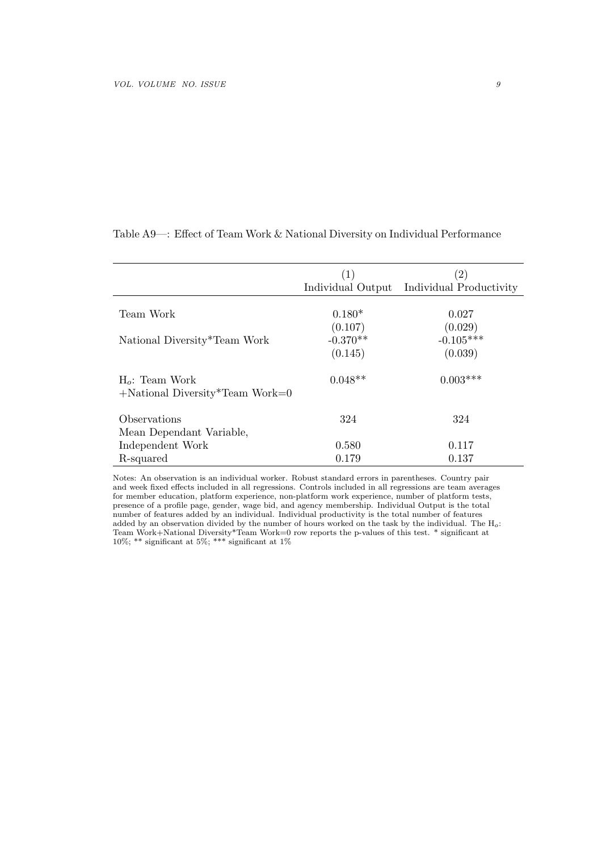|                                                                      | (1)               | (2)                     |
|----------------------------------------------------------------------|-------------------|-------------------------|
|                                                                      | Individual Output | Individual Productivity |
|                                                                      |                   |                         |
| Team Work                                                            | $0.180*$          | 0.027                   |
|                                                                      | (0.107)           | (0.029)                 |
| National Diversity*Team Work                                         | $-0.370**$        | $-0.105***$             |
|                                                                      | (0.145)           | (0.039)                 |
| $H_o$ : Team Work<br>$+$ National Diversity <sup>*</sup> Team Work=0 | $0.048**$         | $0.003***$              |
| <i><b>Observations</b></i>                                           | 324               | 324                     |
| Mean Dependant Variable,                                             |                   |                         |
| Independent Work                                                     | 0.580             | 0.117                   |
| R-squared                                                            | 0.179             | 0.137                   |

Table A9—: Effect of Team Work & National Diversity on Individual Performance

Notes: An observation is an individual worker. Robust standard errors in parentheses. Country pair and week fixed effects included in all regressions. Controls included in all regressions are team averages for member education, platform experience, non-platform work experience, number of platform tests, presence of a profile page, gender, wage bid, and agency membership. Individual Output is the total number of features added by an individual. Individual productivity is the total number of features added by an observation divided by the number of hours worked on the task by the individual. The H*o*: Team Work+National Diversity\*Team Work=0 row reports the p-values of this test. \* significant at 10%; \*\* significant at 5%; \*\*\* significant at 1%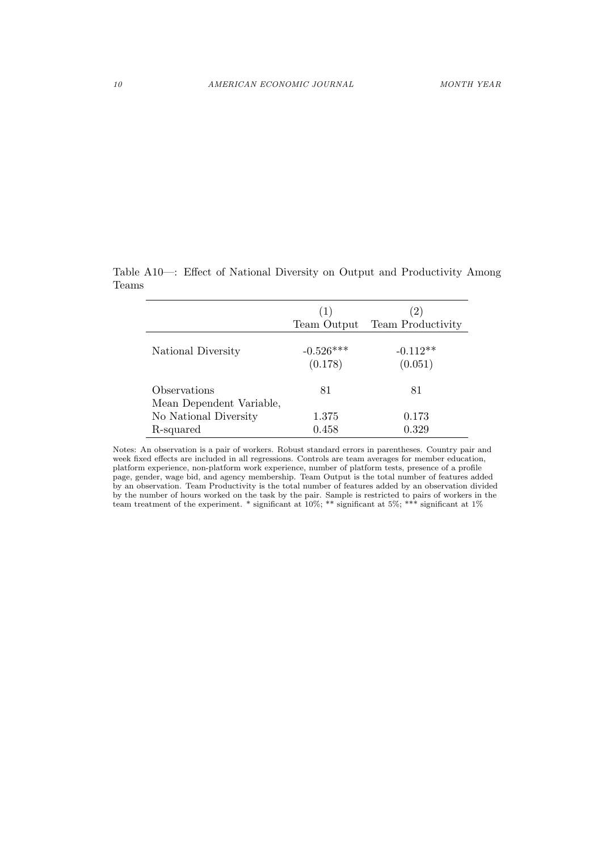|                          | (1)         |                          |
|--------------------------|-------------|--------------------------|
|                          | Team Output | <b>Team Productivity</b> |
| National Diversity       | $-0.526***$ | $-0.112**$               |
|                          | (0.178)     | (0.051)                  |
| Observations             | 81          | 81                       |
| Mean Dependent Variable, |             |                          |
| No National Diversity    | 1.375       | 0.173                    |
| R-squared                | 0.458       | 0.329                    |

Table A10—: Effect of National Diversity on Output and Productivity Among Teams

Notes: An observation is a pair of workers. Robust standard errors in parentheses. Country pair and week fixed effects are included in all regressions. Controls are team averages for member education, platform experience, non-platform work experience, number of platform tests, presence of a profile page, gender, wage bid, and agency membership. Team Output is the total number of features added by an observation. Team Productivity is the total number of features added by an observation divided by the number of hours worked on the task by the pair. Sample is restricted to pairs of workers in the team treatment of the experiment. \* significant at 10%; \*\* significant at 5%; \*\*\* significant at 1%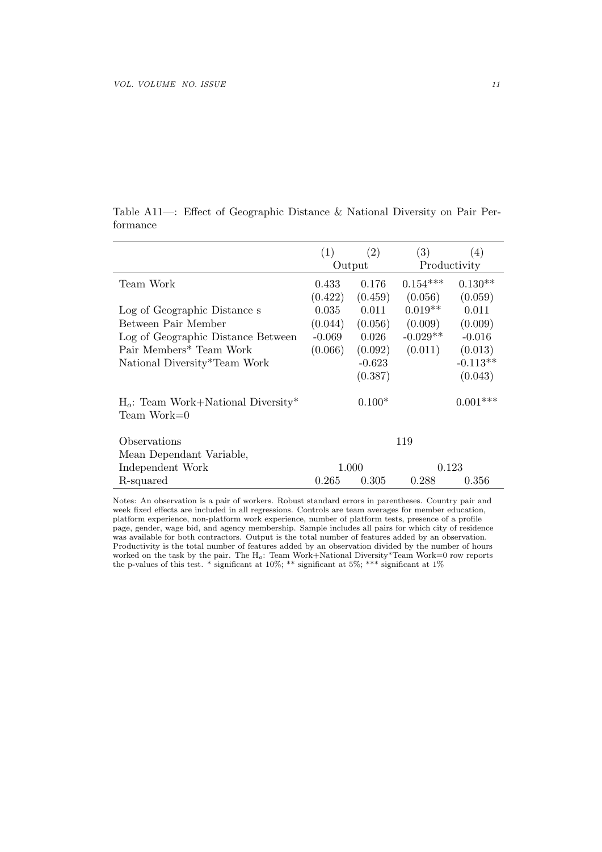|                                                        | (1)      | (2)      | (3)          | (4)        |  |
|--------------------------------------------------------|----------|----------|--------------|------------|--|
|                                                        | Output   |          | Productivity |            |  |
| Team Work                                              | 0.433    | 0.176    | $0.154***$   | $0.130**$  |  |
|                                                        | (0.422)  | (0.459)  | (0.056)      | (0.059)    |  |
| Log of Geographic Distance s                           | 0.035    | 0.011    | $0.019**$    | 0.011      |  |
| Between Pair Member                                    | (0.044)  | (0.056)  | (0.009)      | (0.009)    |  |
| Log of Geographic Distance Between                     | $-0.069$ | 0.026    | $-0.029**$   | $-0.016$   |  |
| Pair Members* Team Work                                | (0.066)  | (0.092)  | (0.011)      | (0.013)    |  |
| National Diversity*Team Work                           |          | $-0.623$ |              | $-0.113**$ |  |
|                                                        |          | (0.387)  |              | (0.043)    |  |
| $H_o$ : Team Work+National Diversity*<br>$Team Work=0$ |          | $0.100*$ |              | $0.001***$ |  |
| Observations                                           |          |          | 119          |            |  |
| Mean Dependant Variable,                               |          |          |              |            |  |
| Independent Work                                       | 1.000    |          | 0.123        |            |  |
| R-squared                                              | 0.265    | 0.305    | 0.288        | 0.356      |  |

| Table A11—: Effect of Geographic Distance & National Diversity on Pair Per- |  |  |  |  |  |
|-----------------------------------------------------------------------------|--|--|--|--|--|
| formance                                                                    |  |  |  |  |  |

Notes: An observation is a pair of workers. Robust standard errors in parentheses. Country pair and week fixed effects are included in all regressions. Controls are team averages for member education, platform experience, non-platform work experience, number of platform tests, presence of a profile page, gender, wage bid, and agency membership. Sample includes all pairs for which city of residence was available for both contractors. Output is the total number of features added by an observation. Productivity is the total number of features added by an observation divided by the number of hours worked on the task by the pair. The H*o*: Team Work+National Diversity\*Team Work=0 row reports the p-values of this test. \* significant at 10%; \*\* significant at 5%; \*\*\* significant at 1%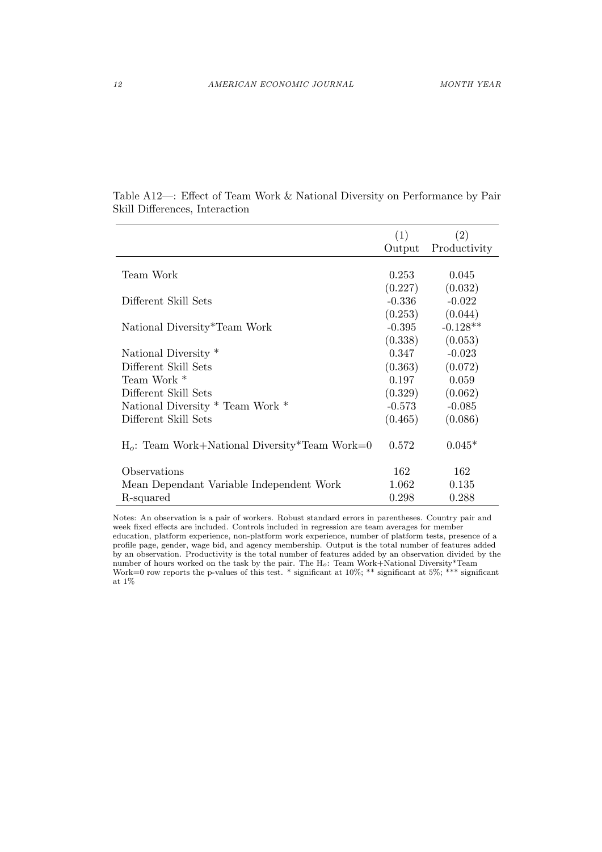|                                                  | (1)      | (2)          |
|--------------------------------------------------|----------|--------------|
|                                                  | Output   | Productivity |
|                                                  |          |              |
| Team Work                                        | 0.253    | 0.045        |
|                                                  | (0.227)  | (0.032)      |
| Different Skill Sets                             | $-0.336$ | $-0.022$     |
|                                                  | (0.253)  | (0.044)      |
| National Diversity*Team Work                     | $-0.395$ | $-0.128**$   |
|                                                  | (0.338)  | (0.053)      |
| National Diversity *                             | 0.347    | $-0.023$     |
| Different Skill Sets                             | (0.363)  | (0.072)      |
| Team Work *                                      | 0.197    | 0.059        |
| Different Skill Sets                             | (0.329)  | (0.062)      |
| National Diversity * Team Work *                 | $-0.573$ | $-0.085$     |
| Different Skill Sets                             | (0.465)  | (0.086)      |
|                                                  |          |              |
| $H_o$ : Team Work+National Diversity*Team Work=0 | 0.572    | $0.045*$     |
|                                                  |          |              |
| Observations                                     | 162      | 162          |
| Mean Dependant Variable Independent Work         | 1.062    | 0.135        |
| R-squared                                        | 0.298    | 0.288        |

Table A12—: Effect of Team Work & National Diversity on Performance by Pair Skill Differences, Interaction

Notes: An observation is a pair of workers. Robust standard errors in parentheses. Country pair and week fixed effects are included. Controls included in regression are team averages for member education, platform experience, non-platform work experience, number of platform tests, presence of a profile page, gender, wage bid, and agency membership. Output is the total number of features added by an observation. Productivity is the total number of features added by an observation divided by the number of hours worked on the task by the pair. The H*o*: Team Work+National Diversity\*Team Work=0 row reports the p-values of this test. \* significant at  $10\%$ ; \*\* significant at  $5\%$ ; \*\*\* significant at  $1\%$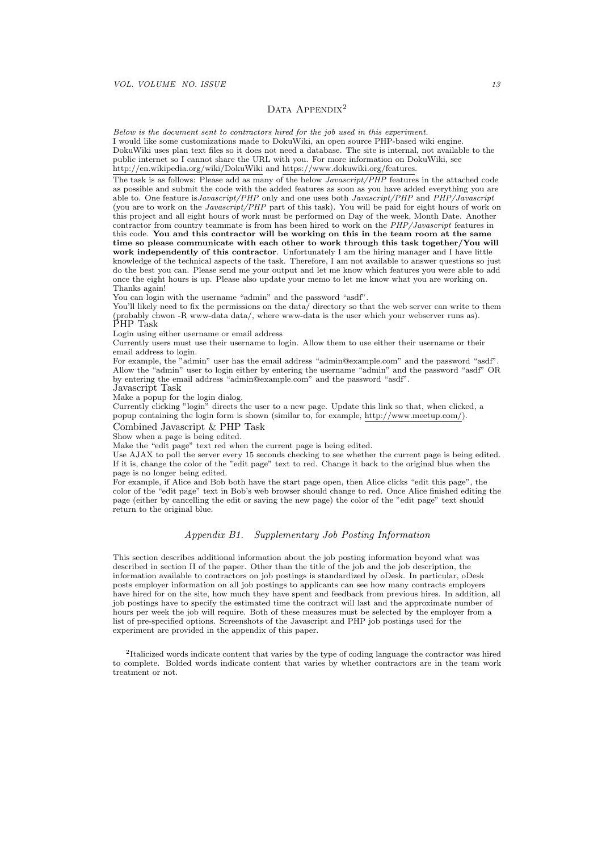## DATA  $APPENDIX<sup>2</sup>$

*Below is the document sent to contractors hired for the job used in this experiment.* I would like some customizations made to DokuWiki, an open source PHP-based wiki engine. DokuWiki uses plan text files so it does not need a database. The site is internal, not available to the public internet so I cannot share the URL with you. For more information on DokuWiki, see http://en.wikipedia.org/wiki/DokuWiki and https://www.dokuwiki.org/features.

The task is as follows: Please add as many of the below *Javascript/PHP* features in the attached code as possible and submit the code with the added features as soon as you have added everything you are able to. One feature is*Javascript/PHP* only and one uses both *Javascript/PHP* and *PHP/Javascript* (you are to work on the *Javascript/PHP* part of this task). You will be paid for eight hours of work on this project and all eight hours of work must be performed on Day of the week, Month Date. Another contractor from country teammate is from has been hired to work on the *PHP/Javascript* features in this code. **You and this contractor will be working on this in the team room at the same time so please communicate with each other to work through this task together/You will work independently of this contractor**. Unfortunately I am the hiring manager and I have little knowledge of the technical aspects of the task. Therefore, I am not available to answer questions so just do the best you can. Please send me your output and let me know which features you were able to add once the eight hours is up. Please also update your memo to let me know what you are working on. Thanks again!

You can login with the username "admin" and the password "asdf".<br>You'll likely need to fix the permissions on the data/ directory so that the web server can write to them You'll likely need to fix the permissions on the data/ directory so that the web server can write to them (probably chwon -R www-data data/, where www-data is the user which your webserver runs as). PHP Task

Login using either username or email address

Currently users must use their username to login. Allow them to use either their username or their email address to login.

For example, the "admin" user has the email address "admin@example.com" and the password "asdf". Allow the "admin" user to login either by entering the username "admin" and the password "asdf" OR by entering the email address "admin@example.com" and the password "asdf".

Javascript Task

Make a popup for the login dialog.

Currently clicking "login" directs the user to a new page. Update this link so that, when clicked, a popup containing the login form is shown (similar to, for example, http://www.meetup.com/).

Combined Javascript & PHP Task

Show when a page is being edited.

Make the "edit page" text red when the current page is being edited.

Use AJAX to poll the server every 15 seconds checking to see whether the current page is being edited. If it is, change the color of the "edit page" text to red. Change it back to the original blue when the page is no longer being edited.

For example, if Alice and Bob both have the start page open, then Alice clicks "edit this page", the color of the "edit page" text in Bob's web browser should change to red. Once Alice finished editing the page (either by cancelling the edit or saving the new page) the color of the "edit page" text should return to the original blue.

### *Appendix B1. Supplementary Job Posting Information*

This section describes additional information about the job posting information beyond what was described in section II of the paper. Other than the title of the job and the job description, the information available to contractors on job postings is standardized by oDesk. In particular, oDesk posts employer information on all job postings to applicants can see how many contracts employers have hired for on the site, how much they have spent and feedback from previous hires. In addition, all job postings have to specify the estimated time the contract will last and the approximate number of hours per week the job will require. Both of these measures must be selected by the employer from a list of pre-specified options. Screenshots of the Javascript and PHP job postings used for the experiment are provided in the appendix of this paper.

2 Italicized words indicate content that varies by the type of coding language the contractor was hired to complete. Bolded words indicate content that varies by whether contractors are in the team work treatment or not.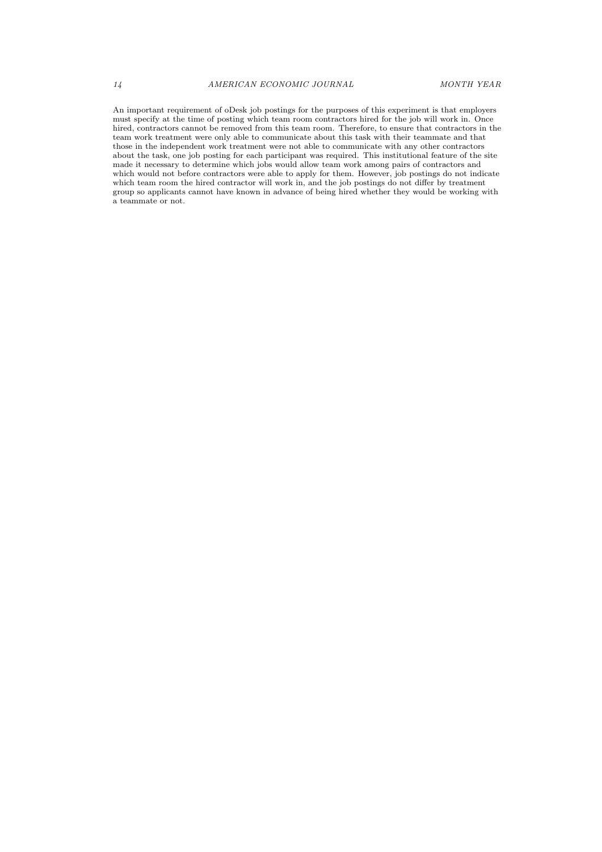An important requirement of oDesk job postings for the purposes of this experiment is that employers must specify at the time of posting which team room contractors hired for the job will work in. Once hired, contractors cannot be removed from this team room. Therefore, to ensure that contractors in the team work treatment were only able to communicate about this task with their teammate and that those in the independent work treatment were not able to communicate with any other contractors about the task, one job posting for each participant was required. This institutional feature of the site made it necessary to determine which jobs would allow team work among pairs of contractors and which would not before contractors were able to apply for them. However, job postings do not indicate which team room the hired contractor will work in, and the job postings do not differ by treatment group so applicants cannot have known in advance of being hired whether they would be working with a teammate or not.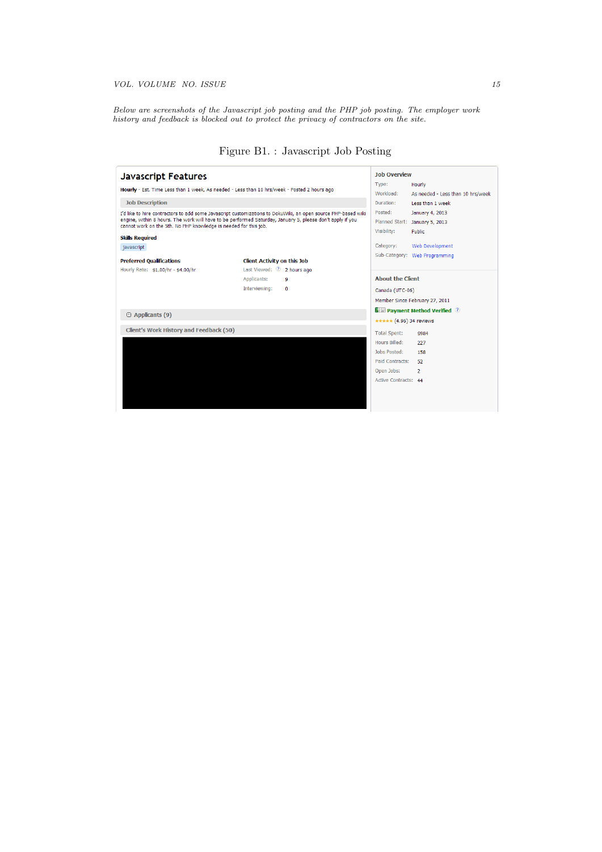*Below are screenshots of the Javascript job posting and the PHP job posting. The employer work history and feedback is blocked out to protect the privacy of contractors on the site.*

| <b>Javascript Features</b>                                                                                                                                                                                                 |                                                                  | <b>Job Overview</b><br>Type:                                         |
|----------------------------------------------------------------------------------------------------------------------------------------------------------------------------------------------------------------------------|------------------------------------------------------------------|----------------------------------------------------------------------|
| Hourly - Est. Time Less than 1 week, As needed - Less than 10 hrs/week - Posted 2 hours ago                                                                                                                                |                                                                  | Hourly<br>Workload:<br>As needed - Less than 10 hrs/week             |
| <b>Job Description</b>                                                                                                                                                                                                     |                                                                  |                                                                      |
| I'd like to hire contractors to add some Javascript customizations to DokuWiki, an open source PHP-based wiki<br>engine, within 8 hours. The work will have to be performed Saturday, January 5, please don't apply if you |                                                                  | Less than 1 week<br>Posted:<br>January 4, 2013                       |
|                                                                                                                                                                                                                            |                                                                  | Planned Start: January 5, 2013                                       |
|                                                                                                                                                                                                                            | cannot work on the 5th. No PHP knowledge is needed for this job. |                                                                      |
| <b>Skills Required</b>                                                                                                                                                                                                     |                                                                  |                                                                      |
| javascript                                                                                                                                                                                                                 |                                                                  | Category:<br><b>Web Development</b><br>Sub-Category: Web Programming |
| <b>Preferred Oualifications</b>                                                                                                                                                                                            | <b>Client Activity on this Job</b>                               |                                                                      |
| Hourly Rate: \$1.00/hr - \$4.00/hr                                                                                                                                                                                         | Last Viewed: 2 2 hours ago                                       |                                                                      |
|                                                                                                                                                                                                                            | Applicants:<br>9                                                 | <b>About the Client</b>                                              |
|                                                                                                                                                                                                                            | Interviewing:<br>$\Omega$                                        | Canada (UTC-06)                                                      |
|                                                                                                                                                                                                                            |                                                                  | Member Since February 27, 2011                                       |
| $\oplus$ Applicants (9)                                                                                                                                                                                                    |                                                                  | <b>E Dayment Method Verified</b> 2                                   |
|                                                                                                                                                                                                                            |                                                                  | ***** (4.96) 34 reviews                                              |
| Client's Work History and Feedback (50)                                                                                                                                                                                    |                                                                  | <b>Total Spent:</b><br>\$984                                         |
|                                                                                                                                                                                                                            |                                                                  | Hours Billed:<br>227                                                 |
|                                                                                                                                                                                                                            |                                                                  | Johs Posted:<br>158                                                  |
|                                                                                                                                                                                                                            |                                                                  | Paid Contracts:<br>52                                                |
|                                                                                                                                                                                                                            |                                                                  | Open Jobs:<br>$\overline{2}$                                         |
|                                                                                                                                                                                                                            |                                                                  | Active Contracts: 44                                                 |
|                                                                                                                                                                                                                            |                                                                  |                                                                      |
|                                                                                                                                                                                                                            |                                                                  |                                                                      |
|                                                                                                                                                                                                                            |                                                                  |                                                                      |

# Figure B1. : Javascript Job Posting